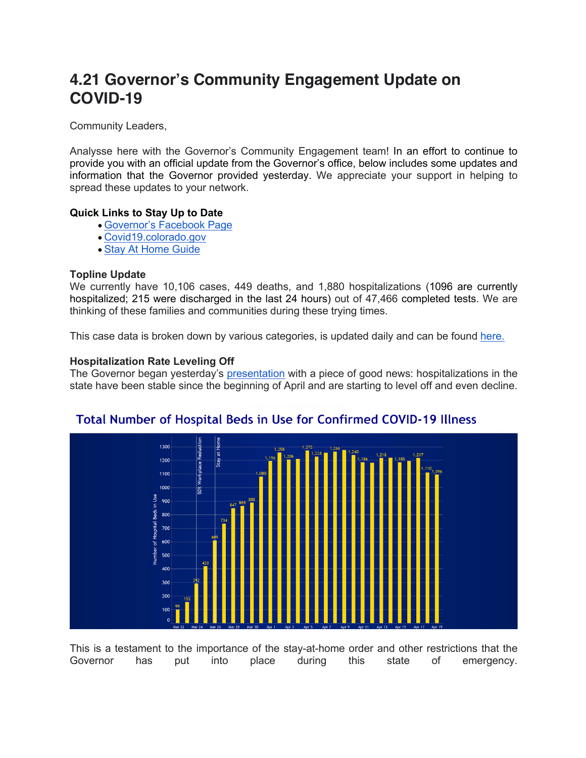# **4.21 Governor's Community Engagement Update on COVID-19**

Community Leaders,

Analysse here with the Governor's Community Engagement team! In an effort to continue to provide you with an official update from the Governor's office, below includes some updates and information that the Governor provided yesterday. We appreciate your support in helping to spread these updates to your network.

### **Quick Links to Stay Up to Date**

- Governor's Facebook Page
- Covid19.colorado.gov
- Stay At Home Guide

### **Topline Update**

We currently have 10,106 cases, 449 deaths, and 1,880 hospitalizations (1096 are currently hospitalized; 215 were discharged in the last 24 hours) out of 47,466 completed tests. We are thinking of these families and communities during these trying times.

This case data is broken down by various categories, is updated daily and can be found here.

### **Hospitalization Rate Leveling Off**

The Governor began yesterday's presentation with a piece of good news: hospitalizations in the state have been stable since the beginning of April and are starting to level off and even decline.



## Total Number of Hospital Beds in Use for Confirmed COVID-19 Illness

This is a testament to the importance of the stay-at-home order and other restrictions that the Governor has put into place during this state of emergency.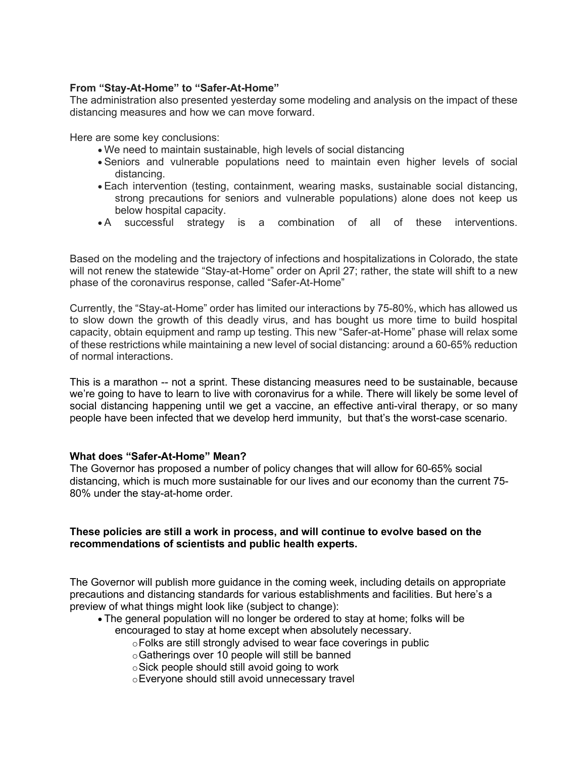### **From "Stay-At-Home" to "Safer-At-Home"**

The administration also presented yesterday some modeling and analysis on the impact of these distancing measures and how we can move forward.

Here are some key conclusions:

- We need to maintain sustainable, high levels of social distancing
- Seniors and vulnerable populations need to maintain even higher levels of social distancing.
- Each intervention (testing, containment, wearing masks, sustainable social distancing, strong precautions for seniors and vulnerable populations) alone does not keep us below hospital capacity.
- A successful strategy is a combination of all of these interventions.

Based on the modeling and the trajectory of infections and hospitalizations in Colorado, the state will not renew the statewide "Stay-at-Home" order on April 27; rather, the state will shift to a new phase of the coronavirus response, called "Safer-At-Home"

Currently, the "Stay-at-Home" order has limited our interactions by 75-80%, which has allowed us to slow down the growth of this deadly virus, and has bought us more time to build hospital capacity, obtain equipment and ramp up testing. This new "Safer-at-Home" phase will relax some of these restrictions while maintaining a new level of social distancing: around a 60-65% reduction of normal interactions.

This is a marathon -- not a sprint. These distancing measures need to be sustainable, because we're going to have to learn to live with coronavirus for a while. There will likely be some level of social distancing happening until we get a vaccine, an effective anti-viral therapy, or so many people have been infected that we develop herd immunity, but that's the worst-case scenario.

### **What does "Safer-At-Home" Mean?**

The Governor has proposed a number of policy changes that will allow for 60-65% social distancing, which is much more sustainable for our lives and our economy than the current 75- 80% under the stay-at-home order.

### **These policies are still a work in process, and will continue to evolve based on the recommendations of scientists and public health experts.**

The Governor will publish more guidance in the coming week, including details on appropriate precautions and distancing standards for various establishments and facilities. But here's a preview of what things might look like (subject to change):

- The general population will no longer be ordered to stay at home; folks will be encouraged to stay at home except when absolutely necessary.
	- oFolks are still strongly advised to wear face coverings in public
	- oGatherings over 10 people will still be banned
	- oSick people should still avoid going to work
	- oEveryone should still avoid unnecessary travel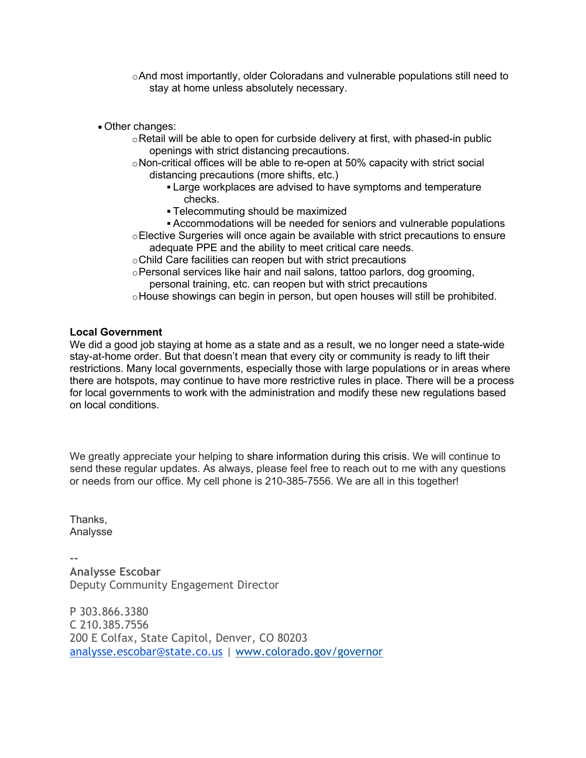- oAnd most importantly, older Coloradans and vulnerable populations still need to stay at home unless absolutely necessary.
- Other changes:
	- $\circ$  Retail will be able to open for curbside delivery at first, with phased-in public openings with strict distancing precautions.
	- oNon-critical offices will be able to re-open at 50% capacity with strict social distancing precautions (more shifts, etc.)
		- Large workplaces are advised to have symptoms and temperature checks.
		- § Telecommuting should be maximized
	- § Accommodations will be needed for seniors and vulnerable populations oElective Surgeries will once again be available with strict precautions to ensure adequate PPE and the ability to meet critical care needs.
	- oChild Care facilities can reopen but with strict precautions
	- oPersonal services like hair and nail salons, tattoo parlors, dog grooming, personal training, etc. can reopen but with strict precautions
	- oHouse showings can begin in person, but open houses will still be prohibited.

### **Local Government**

We did a good job staying at home as a state and as a result, we no longer need a state-wide stay-at-home order. But that doesn't mean that every city or community is ready to lift their restrictions. Many local governments, especially those with large populations or in areas where there are hotspots, may continue to have more restrictive rules in place. There will be a process for local governments to work with the administration and modify these new regulations based on local conditions.

We greatly appreciate your helping to share information during this crisis. We will continue to send these regular updates. As always, please feel free to reach out to me with any questions or needs from our office. My cell phone is 210-385-7556. We are all in this together!

Thanks, Analysse

**-- Analysse Escobar** Deputy Community Engagement Director

P 303.866.3380 C 210.385.7556 200 E Colfax, State Capitol, Denver, CO 80203 analysse.escobar@state.co.us | www.colorado.gov/governor